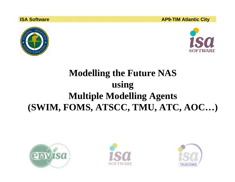**ISA Software AP9-TIM Atlantic City**





# **Modelling the Future NAS using Multiple Modelling Agents (SWIM, FOMS, ATSCC, TMU, ATC, AOC…)**





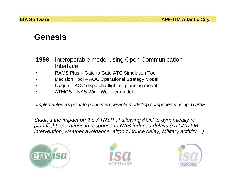#### **Genesis**

- **1998:** Interoperable model using Open Communication Interface
- •RAMS Plus – Gate to Gate ATC Simulation Tool
- •Decision Tool – AOC Operational Strategy Model
- •Opgen – AOC dispatch / flight re-planning model
- •ATMOS – NAS-Wide Weather model

*Implemented as point to point interoperable modelling components using TCP/IP* 

*Studied the impact on the ATNSP of allowing AOC to dynamically replan flight operations in response to NAS-induced delays (ATC/ATFM intervention, weather avoidance, airport induce delay, Military activity…)* 





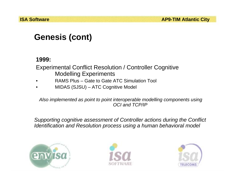## **Genesis (cont)**

#### **1999:**

Experimental Conflict Resolution / Controller Cognitive Modelling Experiments

- •RAMS Plus – Gate to Gate ATC Simulation Tool
- •MIDAS (SJSU) – ATC Cognitive Model

*Also implemented as point to point interoperable modelling components using OCI and TCP/IP*

*Supporting cognitive assessment of Controller actions during the Conflict Identification and Resolution process using a human behavioral model* 





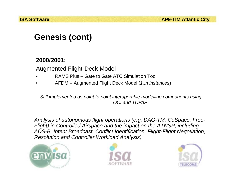## **Genesis (cont)**

#### **2000/2001:**

Augmented Flight-Deck Model

- •RAMS Plus – Gate to Gate ATC Simulation Tool
- •AFDM – Augmented Flight Deck Model (*1..n instances*)

*Still implemented as point to point interoperable modelling components using OCI and TCP/IP*

*Analysis of autonomous flight operations (e.g. DAG-TM, CoSpace, Free-Flight) in Controlled Airspace and the impact on the ATNSP, including ADS-B, Intent Broadcast, Conflict Identification, Flight-Flight Negotiation, Resolution and Controller Workload Analysis)* 





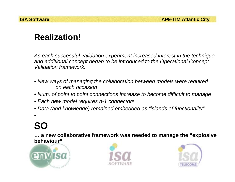## **Realization!**

*As each successful validation experiment increased interest in the technique, and additional concept began to be introduced to the Operational Concept Validation framework:*

- *New ways of managing the collaboration between models were required on each occasion*
- *Num. of point to point connections increase to become difficult to manage*
- *Each new model requires n-1 connectors*
- *Data (and knowledge) remained embedded as "islands of functionality"*

•*…*

# **SO**

**… a new collaborative framework was needed to manage the "explosive behaviour"** 





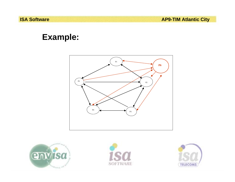**ISA Software**<br> **AP9-TIM Atlantic City** 

#### **Example:**







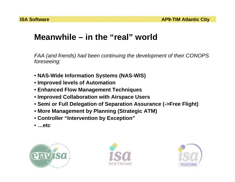#### **Meanwhile – in the "real" world**

*FAA (and friends) had been continuing the development of their CONOPS foreseeing:*

- **NAS-Wide Information Systems (NAS-WIS)**
- **Improved levels of Automation**
- **Enhanced Flow Management Techniques**
- **Improved Collaboration with Airspace Users**
- **Semi or Full Delegation of Separation Assurance (->Free Flight)**
- **More Management by Planning (Strategic ATM)**
- **Controller "Intervention by Exception"**
- **…etc**





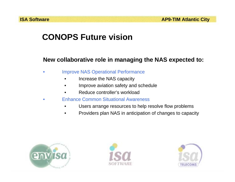### **CONOPS Future vision**

#### **New collaborative role in managing the NAS expected to:**

- • Improve NAS Operational Performance
	- •Increase the NAS capacity
	- •Improve aviation safety and schedule
	- •Reduce controller's workload
- • Enhance Common Situational Awareness
	- •Users arrange resources to help resolve flow problems
	- •Providers plan NAS in anticipation of changes to capacity





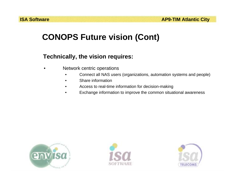### **CONOPS Future vision (Cont)**

#### **Technically, the vision requires:**

- • Network centric operations
	- •Connect all NAS users (organizations, automation systems and people)
	- •Share information
	- •Access to real-time information for decision-making
	- •Exchange information to improve the common situational awareness





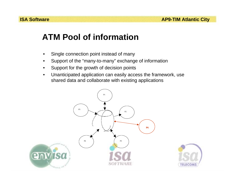### **ATM Pool of information**

- •Single connection point instead of many
- •Support of the "many-to-many" exchange of information
- •Support for the growth of decision points
- • Unanticipated application can easily access the framework, use shared data and collaborate with existing applications



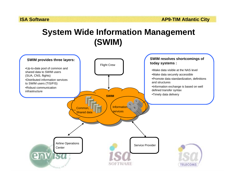### **System Wide Information Management (SWIM)**

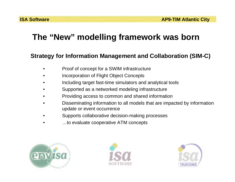## **The "New" modelling framework was born**

#### **Strategy for Information Management and Collaboration (SIM-C)**

- •Proof of concept for a SWIM infrastructure
- •Incorporation of Flight Object Concepts
- •Including target fast-time simulators and analytical tools
- •Supported as a networked modeling infrastructure
- •Providing access to common and shared information
- • Disseminating information to all models that are impacted by information update or event occurrence
- •Supports collaborative decision-making processes
- •…to evaluate cooperative ATM concepts





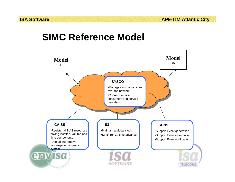## **SIMC Reference Model**

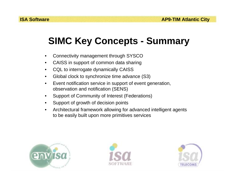# **SIMC Key Concepts - Summary**

- •Connectivity management through SYSCO
- •CAISS in support of common data sharing
- •CQL to interrogate dynamically CAISS
- •Global clock to synchronize time advance (S3)
- • Event notification service in support of event generation, observation and notification (SENS)
- •Support of Community of Interest (Federations)
- •Support of growth of decision points
- • Architectural framework allowing for advanced intelligent agents to be easily built upon more primitives services





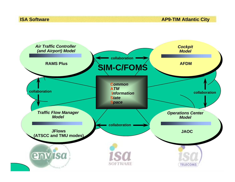